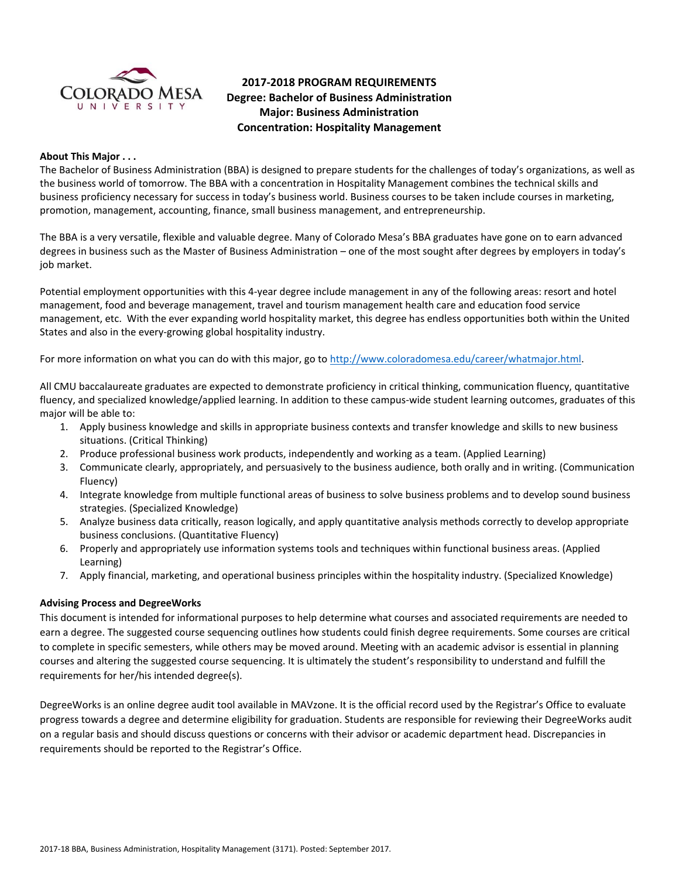

# **2017-2018 PROGRAM REQUIREMENTS Degree: Bachelor of Business Administration Major: Business Administration Concentration: Hospitality Management**

#### **About This Major . . .**

The Bachelor of Business Administration (BBA) is designed to prepare students for the challenges of today's organizations, as well as the business world of tomorrow. The BBA with a concentration in Hospitality Management combines the technical skills and business proficiency necessary for success in today's business world. Business courses to be taken include courses in marketing, promotion, management, accounting, finance, small business management, and entrepreneurship.

The BBA is a very versatile, flexible and valuable degree. Many of Colorado Mesa's BBA graduates have gone on to earn advanced degrees in business such as the Master of Business Administration – one of the most sought after degrees by employers in today's job market.

Potential employment opportunities with this 4-year degree include management in any of the following areas: resort and hotel management, food and beverage management, travel and tourism management health care and education food service management, etc. With the ever expanding world hospitality market, this degree has endless opportunities both within the United States and also in the every-growing global hospitality industry.

For more information on what you can do with this major, go t[o http://www.coloradomesa.edu/career/whatmajor.html.](http://www.coloradomesa.edu/career/whatmajor.html)

All CMU baccalaureate graduates are expected to demonstrate proficiency in critical thinking, communication fluency, quantitative fluency, and specialized knowledge/applied learning. In addition to these campus-wide student learning outcomes, graduates of this major will be able to:

- 1. Apply business knowledge and skills in appropriate business contexts and transfer knowledge and skills to new business situations. (Critical Thinking)
- 2. Produce professional business work products, independently and working as a team. (Applied Learning)
- 3. Communicate clearly, appropriately, and persuasively to the business audience, both orally and in writing. (Communication Fluency)
- 4. Integrate knowledge from multiple functional areas of business to solve business problems and to develop sound business strategies. (Specialized Knowledge)
- 5. Analyze business data critically, reason logically, and apply quantitative analysis methods correctly to develop appropriate business conclusions. (Quantitative Fluency)
- 6. Properly and appropriately use information systems tools and techniques within functional business areas. (Applied Learning)
- 7. Apply financial, marketing, and operational business principles within the hospitality industry. (Specialized Knowledge)

#### **Advising Process and DegreeWorks**

This document is intended for informational purposes to help determine what courses and associated requirements are needed to earn a degree. The suggested course sequencing outlines how students could finish degree requirements. Some courses are critical to complete in specific semesters, while others may be moved around. Meeting with an academic advisor is essential in planning courses and altering the suggested course sequencing. It is ultimately the student's responsibility to understand and fulfill the requirements for her/his intended degree(s).

DegreeWorks is an online degree audit tool available in MAVzone. It is the official record used by the Registrar's Office to evaluate progress towards a degree and determine eligibility for graduation. Students are responsible for reviewing their DegreeWorks audit on a regular basis and should discuss questions or concerns with their advisor or academic department head. Discrepancies in requirements should be reported to the Registrar's Office.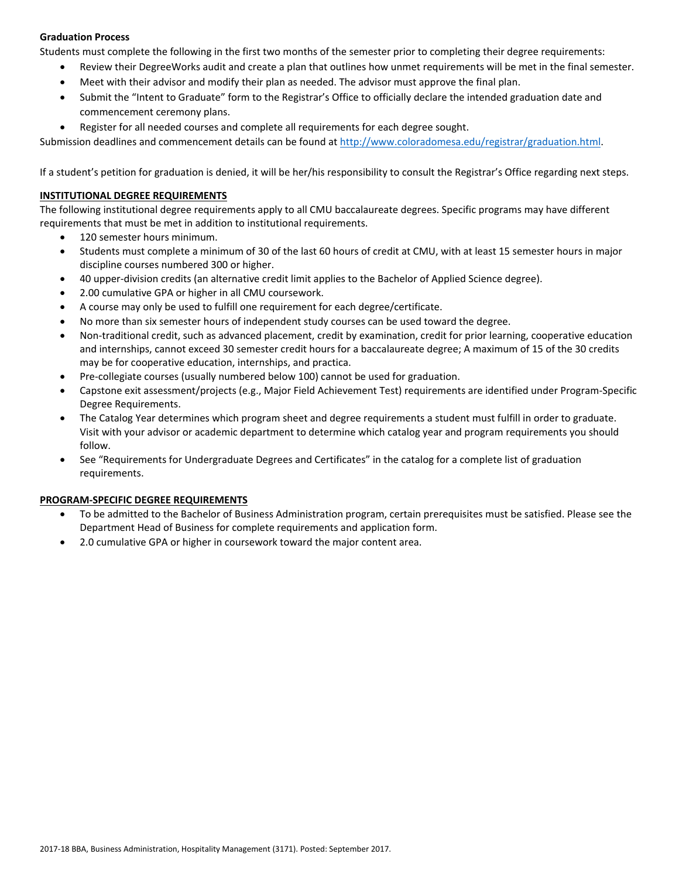# **Graduation Process**

Students must complete the following in the first two months of the semester prior to completing their degree requirements:

- Review their DegreeWorks audit and create a plan that outlines how unmet requirements will be met in the final semester.
- Meet with their advisor and modify their plan as needed. The advisor must approve the final plan.
- Submit the "Intent to Graduate" form to the Registrar's Office to officially declare the intended graduation date and commencement ceremony plans.
- Register for all needed courses and complete all requirements for each degree sought.

Submission deadlines and commencement details can be found at [http://www.coloradomesa.edu/registrar/graduation.html.](http://www.coloradomesa.edu/registrar/graduation.html)

If a student's petition for graduation is denied, it will be her/his responsibility to consult the Registrar's Office regarding next steps.

# **INSTITUTIONAL DEGREE REQUIREMENTS**

The following institutional degree requirements apply to all CMU baccalaureate degrees. Specific programs may have different requirements that must be met in addition to institutional requirements.

- 120 semester hours minimum.
- Students must complete a minimum of 30 of the last 60 hours of credit at CMU, with at least 15 semester hours in major discipline courses numbered 300 or higher.
- 40 upper-division credits (an alternative credit limit applies to the Bachelor of Applied Science degree).
- 2.00 cumulative GPA or higher in all CMU coursework.
- A course may only be used to fulfill one requirement for each degree/certificate.
- No more than six semester hours of independent study courses can be used toward the degree.
- Non-traditional credit, such as advanced placement, credit by examination, credit for prior learning, cooperative education and internships, cannot exceed 30 semester credit hours for a baccalaureate degree; A maximum of 15 of the 30 credits may be for cooperative education, internships, and practica.
- Pre-collegiate courses (usually numbered below 100) cannot be used for graduation.
- Capstone exit assessment/projects (e.g., Major Field Achievement Test) requirements are identified under Program-Specific Degree Requirements.
- The Catalog Year determines which program sheet and degree requirements a student must fulfill in order to graduate. Visit with your advisor or academic department to determine which catalog year and program requirements you should follow.
- See "Requirements for Undergraduate Degrees and Certificates" in the catalog for a complete list of graduation requirements.

# **PROGRAM-SPECIFIC DEGREE REQUIREMENTS**

- To be admitted to the Bachelor of Business Administration program, certain prerequisites must be satisfied. Please see the Department Head of Business for complete requirements and application form.
- 2.0 cumulative GPA or higher in coursework toward the major content area.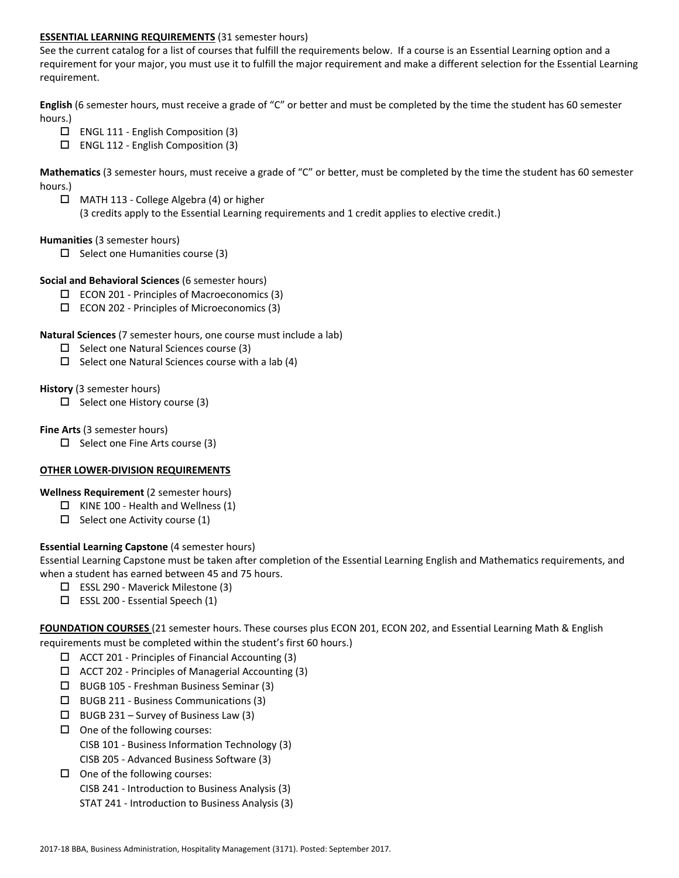# **ESSENTIAL LEARNING REQUIREMENTS** (31 semester hours)

See the current catalog for a list of courses that fulfill the requirements below. If a course is an Essential Learning option and a requirement for your major, you must use it to fulfill the major requirement and make a different selection for the Essential Learning requirement.

**English** (6 semester hours, must receive a grade of "C" or better and must be completed by the time the student has 60 semester hours.)

- $\Box$  ENGL 111 English Composition (3)
- $\square$  ENGL 112 English Composition (3)

**Mathematics** (3 semester hours, must receive a grade of "C" or better, must be completed by the time the student has 60 semester hours.)

 MATH 113 - College Algebra (4) or higher (3 credits apply to the Essential Learning requirements and 1 credit applies to elective credit.)

#### **Humanities** (3 semester hours)

 $\Box$  Select one Humanities course (3)

#### **Social and Behavioral Sciences** (6 semester hours)

- $\square$  ECON 201 Principles of Macroeconomics (3)
- $\square$  ECON 202 Principles of Microeconomics (3)

#### **Natural Sciences** (7 semester hours, one course must include a lab)

- $\Box$  Select one Natural Sciences course (3)
- $\Box$  Select one Natural Sciences course with a lab (4)

#### **History** (3 semester hours)

 $\Box$  Select one History course (3)

#### **Fine Arts** (3 semester hours)

 $\Box$  Select one Fine Arts course (3)

# **OTHER LOWER-DIVISION REQUIREMENTS**

# **Wellness Requirement** (2 semester hours)

- $\Box$  KINE 100 Health and Wellness (1)
- $\Box$  Select one Activity course (1)

# **Essential Learning Capstone** (4 semester hours)

Essential Learning Capstone must be taken after completion of the Essential Learning English and Mathematics requirements, and when a student has earned between 45 and 75 hours.

- $\Box$  ESSL 290 Maverick Milestone (3)
- $\square$  ESSL 200 Essential Speech (1)

**FOUNDATION COURSES** (21 semester hours. These courses plus ECON 201, ECON 202, and Essential Learning Math & English requirements must be completed within the student's first 60 hours.)

- $\Box$  ACCT 201 Principles of Financial Accounting (3)
- $\Box$  ACCT 202 Principles of Managerial Accounting (3)
- BUGB 105 Freshman Business Seminar (3)
- $\square$  BUGB 211 Business Communications (3)
- $\Box$  BUGB 231 Survey of Business Law (3)
- $\Box$  One of the following courses: CISB 101 - Business Information Technology (3) CISB 205 - Advanced Business Software (3)
- $\Box$  One of the following courses:
	- CISB 241 Introduction to Business Analysis (3)
	- STAT 241 Introduction to Business Analysis (3)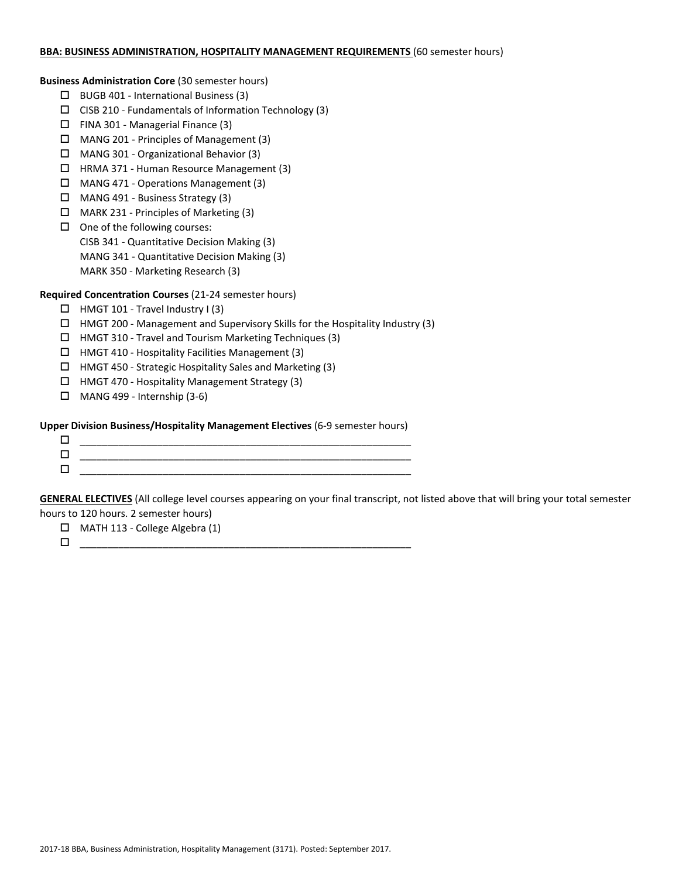#### **BBA: BUSINESS ADMINISTRATION, HOSPITALITY MANAGEMENT REQUIREMENTS** (60 semester hours)

**Business Administration Core** (30 semester hours)

- BUGB 401 International Business (3)
- $\square$  CISB 210 Fundamentals of Information Technology (3)
- $\Box$  FINA 301 Managerial Finance (3)
- MANG 201 Principles of Management (3)
- MANG 301 Organizational Behavior (3)
- HRMA 371 Human Resource Management (3)
- MANG 471 Operations Management (3)
- MANG 491 Business Strategy (3)
- MARK 231 Principles of Marketing (3)
- $\Box$  One of the following courses:
	- CISB 341 Quantitative Decision Making (3)
	- MANG 341 Quantitative Decision Making (3)
	- MARK 350 Marketing Research (3)

# **Required Concentration Courses** (21-24 semester hours)

- $\Box$  HMGT 101 Travel Industry I (3)
- HMGT 200 Management and Supervisory Skills for the Hospitality Industry (3)
- HMGT 310 Travel and Tourism Marketing Techniques (3)
- HMGT 410 Hospitality Facilities Management (3)
- $\Box$  HMGT 450 Strategic Hospitality Sales and Marketing (3)
- □ HMGT 470 Hospitality Management Strategy (3)
- $\Box$  MANG 499 Internship (3-6)

# **Upper Division Business/Hospitality Management Electives** (6-9 semester hours)

| ______ |
|--------|
|        |
|        |

**GENERAL ELECTIVES** (All college level courses appearing on your final transcript, not listed above that will bring your total semester hours to 120 hours. 2 semester hours)

MATH 113 - College Algebra (1)

\_\_\_\_\_\_\_\_\_\_\_\_\_\_\_\_\_\_\_\_\_\_\_\_\_\_\_\_\_\_\_\_\_\_\_\_\_\_\_\_\_\_\_\_\_\_\_\_\_\_\_\_\_\_\_\_\_\_\_\_